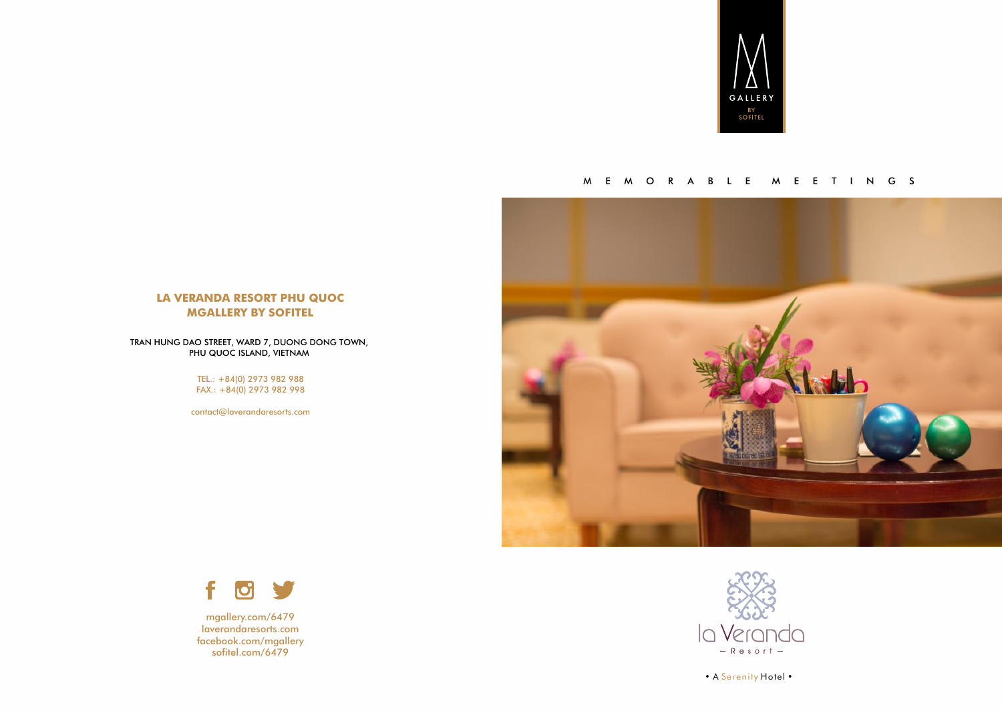

#### M E M O R A B L E M E E T I N G S



#### **LA VERANDA RESORT PHU QUOC MGALLERY BY SOFITEL**

TRAN HUNG DAO STREET, WARD 7, DUONG DONG TOWN, PHU QUOC ISLAND, VIETNAM

> TEL.: +84(0) 2973 982 988 FAX.: +84(0) 2973 982 998

[contact@laverandaresorts.com](mailto:contact@laverandaresorts.com)



mgallery.com/6479 laverandaresorts.com facebook.com/mgallery sofitel.com/6479



• A Serenity Hotel •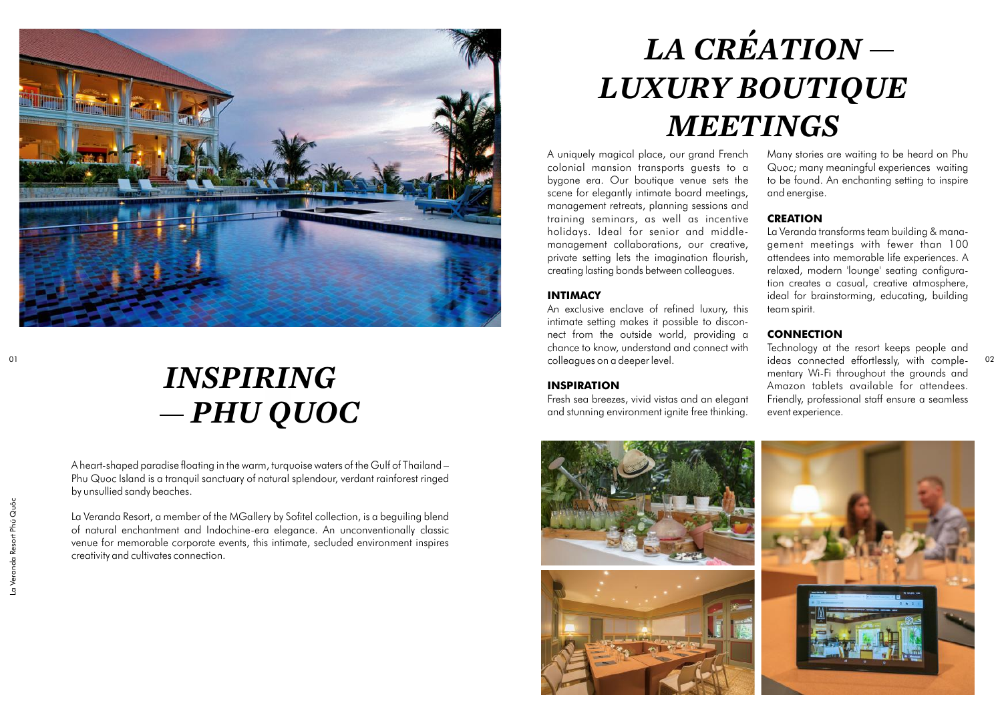

### *INSPIRING PHU QUOC*

A heart-shaped paradise floating in the warm, turquoise waters of the Gulf of Thailand – Phu Quoc Island is a tranquil sanctuary of natural splendour, verdant rainforest ringed by unsullied sandy beaches.

La Veranda Resort, a member of the MGallery by Sofitel collection, is a beguiling blend of natural enchantment and Indochine-era elegance. An unconventionally classic venue for memorable corporate events, this intimate, secluded environment inspires creativity and cultivates connection.

# *LA CRÉATION LUXURY BOUTIQUE MEETINGS*

A uniquely magical place, our grand French colonial mansion transports guests to a bygone era. Our boutique venue sets the scene for elegantly intimate board meetings, management retreats, planning sessions and training seminars, as well as incentive holidays. Ideal for senior and middlemanagement collaborations, our creative, private setting lets the imagination flourish, creating lasting bonds between colleagues.

#### **INTIMACY**

An exclusive enclave of refined luxury, this intimate setting makes it possible to disconnect from the outside world, providing a chance to know, understand and connect with colleagues on a deeper level.

#### **INSPIRATION**

Fresh sea breezes, vivid vistas and an elegant and stunning environment ignite free thinking.

Many stories are waiting to be heard on Phu Quoc; many meaningful experiences waiting to be found. An enchanting setting to inspire and energise.

#### **CREATION**

La Veranda transforms team building & management meetings with fewer than 100 attendees into memorable life experiences. A relaxed, modern 'lounge' seating configuration creates a casual, creative atmosphere, ideal for brainstorming, educating, building team spirit.

#### **CONNECTION**

01 02 ideas connected effortlessly, with comple-Technology at the resort keeps people and mentary Wi-Fi throughout the grounds and Amazon tablets available for attendees. Friendly, professional staff ensure a seamless event experience.

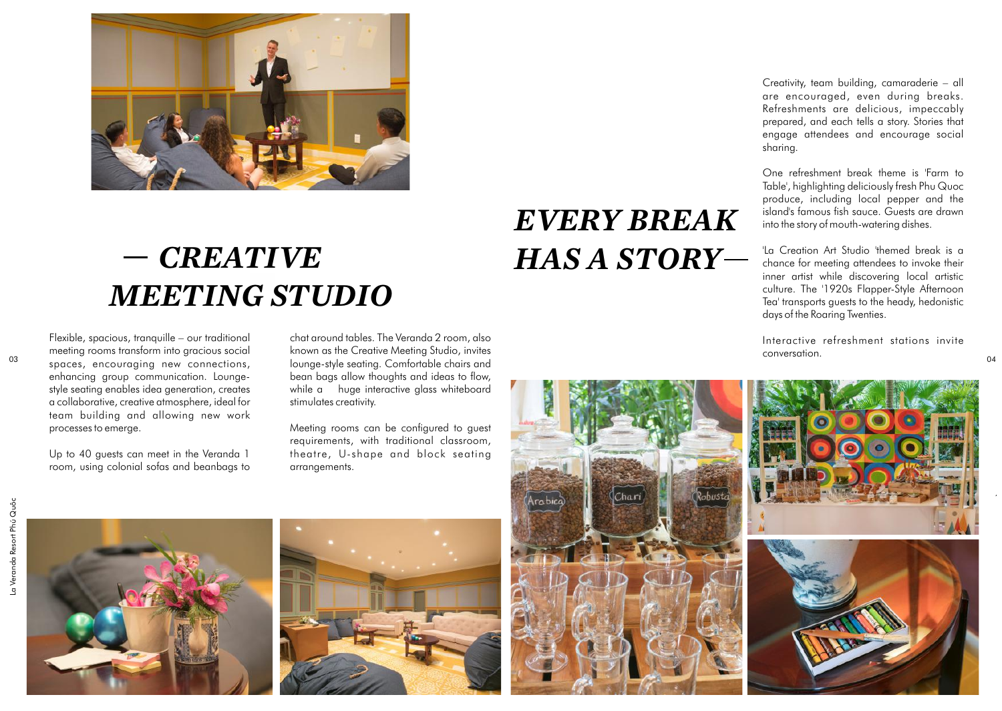

# *CREATIVE MEETING STUDIO*

Flexible, spacious, tranquille – our traditional meeting rooms transform into gracious social spaces, encouraging new connections, enhancing group communication. Loungestyle seating enables idea generation, creates a collaborative, creative atmosphere, ideal for team building and allowing new work processes to emerge.

Up to 40 guests can meet in the Veranda 1 room, using colonial sofas and beanbags to

chat around tables. The Veranda 2 room, also known as the Creative Meeting Studio, invites lounge-style seating. Comfortable chairs and bean bags allow thoughts and ideas to flow, while a huge interactive glass whiteboard stimulates creativity.

Meeting rooms can be configured to guest requirements, with traditional classroom, theatre, U-shape and block seating arrangements.

## *EVERY BREAK HAS A STORY*

Creativity, team building, camaraderie – all are encouraged, even during breaks. Refreshments are delicious, impeccably prepared, and each tells a story. Stories that engage attendees and encourage social sharing.

One refreshment break theme is 'Farm to Table', highlighting deliciously fresh Phu Quoc produce, including local pepper and the island's famous fish sauce. Guests are drawn into the story of mouth-watering dishes.

'La Creation Art Studio 'themed break is a chance for meeting attendees to invoke their inner artist while discovering local artistic culture. The '1920s Flapper-Style Afternoon Tea' transports guests to the heady, hedonistic days of the Roaring Twenties.

Interactive refreshment stations invite conversation.

04

La Veranda Resort Phú Quôc

La Veranda Resort Phú Quốc







![](_page_2_Picture_16.jpeg)